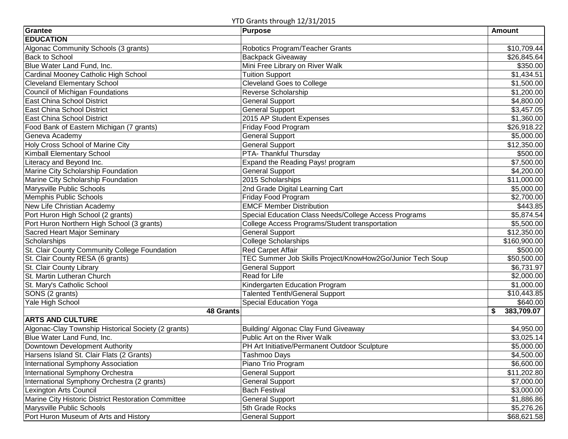YTD Grants through 12/31/2015

| Grantee                                             | <u> - … ວະລ - –, ວ –, – ວະວ</u><br>Purpose                | <b>Amount</b>    |
|-----------------------------------------------------|-----------------------------------------------------------|------------------|
| <b>EDUCATION</b>                                    |                                                           |                  |
| Algonac Community Schools (3 grants)                | Robotics Program/Teacher Grants                           | \$10,709.44      |
| Back to School                                      | Backpack Giveaway                                         | \$26,845.64      |
| Blue Water Land Fund, Inc.                          | Mini Free Library on River Walk                           | \$350.00         |
| Cardinal Mooney Catholic High School                | <b>Tuition Support</b>                                    | \$1,434.51       |
| <b>Cleveland Elementary School</b>                  | <b>Cleveland Goes to College</b>                          | \$1,500.00       |
| Council of Michigan Foundations                     | <b>Reverse Scholarship</b>                                | \$1,200.00       |
| East China School District                          | <b>General Support</b>                                    | \$4,800.00       |
| East China School District                          | <b>General Support</b>                                    | \$3,457.05       |
| East China School District                          | 2015 AP Student Expenses                                  | \$1,360.00       |
| Food Bank of Eastern Michigan (7 grants)            | <b>Friday Food Program</b>                                | \$26,918.22      |
| Geneva Academy                                      | <b>General Support</b>                                    | \$5,000.00       |
| Holy Cross School of Marine City                    | <b>General Support</b>                                    | \$12,350.00      |
| Kimball Elementary School                           | PTA- Thankful Thursday                                    | \$500.00         |
| Literacy and Beyond Inc.                            | Expand the Reading Pays! program                          | \$7,500.00       |
| Marine City Scholarship Foundation                  | <b>General Support</b>                                    | \$4,200.00       |
| Marine City Scholarship Foundation                  | 2015 Scholarships                                         | \$11,000.00      |
| Marysville Public Schools                           | 2nd Grade Digital Learning Cart                           | \$5,000.00       |
| Memphis Public Schools                              | Friday Food Program                                       | \$2,700.00       |
| New Life Christian Academy                          | <b>EMCF Member Distribution</b>                           | \$443.85         |
| Port Huron High School (2 grants)                   | Special Education Class Needs/College Access Programs     | \$5,874.54       |
| Port Huron Northern High School (3 grants)          | College Access Programs/Student transportation            | \$5,500.00       |
| Sacred Heart Major Seminary                         | <b>General Support</b>                                    | \$12,350.00      |
| Scholarships                                        | <b>College Scholarships</b>                               | \$160,900.00     |
| St. Clair County Community College Foundation       | <b>Red Carpet Affair</b>                                  | \$500.00         |
| St. Clair County RESA (6 grants)                    | TEC Summer Job Skills Project/KnowHow2Go/Junior Tech Soup | \$50,500.00      |
| St. Clair County Library                            | General Support                                           | \$6,731.97       |
| St. Martin Lutheran Church                          | <b>Read for Life</b>                                      | \$2,000.00       |
| St. Mary's Catholic School                          | Kindergarten Education Program                            | \$1,000.00       |
| SONS (2 grants)                                     | <b>Talented Tenth/General Support</b>                     | \$10,443.85      |
| Yale High School                                    | <b>Special Education Yoga</b>                             | \$640.00         |
| <b>48 Grants</b>                                    |                                                           | 383,709.07<br>\$ |
| <b>ARTS AND CULTURE</b>                             |                                                           |                  |
| Algonac-Clay Township Historical Society (2 grants) | Building/ Algonac Clay Fund Giveaway                      | \$4,950.00       |
| Blue Water Land Fund, Inc.                          | Public Art on the River Walk                              | \$3,025.14       |
| Downtown Development Authority                      | PH Art Initiative/Permanent Outdoor Sculpture             | \$5,000.00       |
| Harsens Island St. Clair Flats (2 Grants)           | Tashmoo Days                                              | \$4,500.00       |
| International Symphony Association                  | Piano Trio Program                                        | \$6,600.00       |
| International Symphony Orchestra                    | <b>General Support</b>                                    | \$11,202.80      |
| International Symphony Orchestra (2 grants)         | <b>General Support</b>                                    | \$7,000.00       |
| Lexington Arts Council                              | <b>Bach Festival</b>                                      | \$3,000.00       |
| Marine City Historic District Restoration Committee | <b>General Support</b>                                    | \$1,886.86       |
| Marysville Public Schools                           | 5th Grade Rocks                                           | \$5,276.26       |
| Port Huron Museum of Arts and History               | <b>General Support</b>                                    | \$68,621.58      |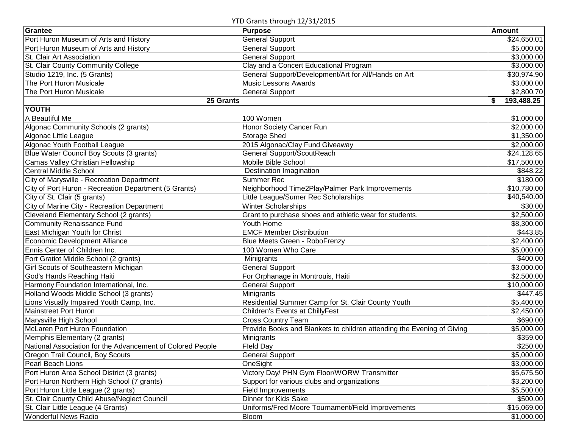YTD Grants through 12/31/2015

| Grantee                                                    | Purpose                                                                | Amount          |
|------------------------------------------------------------|------------------------------------------------------------------------|-----------------|
| Port Huron Museum of Arts and History                      | <b>General Support</b>                                                 | \$24,650.01     |
| Port Huron Museum of Arts and History                      | General Support                                                        | \$5,000.00      |
| St. Clair Art Association                                  | <b>General Support</b>                                                 | \$3,000.00      |
| St. Clair County Community College                         | Clay and a Concert Educational Program                                 | \$3,000.00      |
| Studio 1219, Inc. (5 Grants)                               | General Support/Development/Art for All/Hands on Art                   | \$30,974.90     |
| The Port Huron Musicale                                    | <b>Music Lessons Awards</b>                                            | \$3,000.00      |
| The Port Huron Musicale                                    | <b>General Support</b>                                                 | \$2,800.70      |
| 25 Grants                                                  |                                                                        | 193,488.25<br>S |
| <b>YOUTH</b>                                               |                                                                        |                 |
| A Beautiful Me                                             | 100 Women                                                              | \$1,000.00      |
| Algonac Community Schools (2 grants)                       | Honor Society Cancer Run                                               | \$2,000.00      |
| Algonac Little League                                      | Storage Shed                                                           | \$1,350.00      |
| Algonac Youth Football League                              | 2015 Algonac/Clay Fund Giveaway                                        | \$2,000.00      |
| Blue Water Council Boy Scouts (3 grants)                   | General Support/ScoutReach                                             | \$24,128.65     |
| Camas Valley Christian Fellowship                          | Mobile Bible School                                                    | \$17,500.00     |
| <b>Central Middle School</b>                               | Destination Imagination                                                | \$848.22        |
| City of Marysville - Recreation Department                 | <b>Summer Rec</b>                                                      | \$180.00        |
| City of Port Huron - Recreation Department (5 Grants)      | Neighborhood Time2Play/Palmer Park Improvements                        | \$10,780.00     |
| City of St. Clair (5 grants)                               | Little League/Sumer Rec Scholarships                                   | \$40,540.00     |
| City of Marine City - Recreation Department                | <b>Winter Scholarships</b>                                             | \$30.00         |
| Cleveland Elementary School (2 grants)                     | Grant to purchase shoes and athletic wear for students.                | \$2,500.00      |
| <b>Community Renaissance Fund</b>                          | Youth Home                                                             | \$8,300.00      |
| East Michigan Youth for Christ                             | <b>EMCF Member Distribution</b>                                        | \$443.85        |
| <b>Economic Development Alliance</b>                       | Blue Meets Green - RoboFrenzy                                          | \$2,400.00      |
| Ennis Center of Children Inc.                              | 100 Women Who Care                                                     | \$5,000.00      |
| Fort Gratiot Middle School (2 grants)                      | Minigrants                                                             | \$400.00        |
| Girl Scouts of Southeastern Michigan                       | <b>General Support</b>                                                 | \$3,000.00      |
| God's Hands Reaching Haiti                                 | For Orphanage in Montrouis, Haiti                                      | \$2,500.00      |
| Harmony Foundation International, Inc.                     | <b>General Support</b>                                                 | \$10,000.00     |
| Holland Woods Middle School (3 grants)                     | Minigrants                                                             | \$447.45        |
| Lions Visually Impaired Youth Camp, Inc.                   | Residential Summer Camp for St. Clair County Youth                     | \$5,400.00      |
| Mainstreet Port Huron                                      | Children's Events at ChillyFest                                        | \$2,450.00      |
| Marysville High School                                     | <b>Cross Country Team</b>                                              | \$690.00        |
| McLaren Port Huron Foundation                              | Provide Books and Blankets to children attending the Evening of Giving | \$5,000.00      |
| Memphis Elementary (2 grants)                              | Minigrants                                                             | \$359.00        |
| National Association for the Advancement of Colored People | Fleld Day                                                              | \$250.00        |
| Oregon Trail Council, Boy Scouts                           | <b>General Support</b>                                                 | \$5,000.00      |
| <b>Pearl Beach Lions</b>                                   | OneSight                                                               | \$3,000.00      |
| Port Huron Area School District (3 grants)                 | Victory Day/ PHN Gym Floor/WORW Transmitter                            | \$5,675.50      |
| Port Huron Northern High School (7 grants)                 | Support for various clubs and organizations                            | \$3,200.00      |
| Port Huron Little League (2 grants)                        | <b>Field Improvements</b>                                              | \$5,500.00      |
| St. Clair County Child Abuse/Neglect Council               | Dinner for Kids Sake                                                   | \$500.00        |
| St. Clair Little League (4 Grants)                         | Uniforms/Fred Moore Tournament/Field Improvements                      | \$15,069.00     |
| <b>Wonderful News Radio</b>                                | Bloom                                                                  | \$1,000.00      |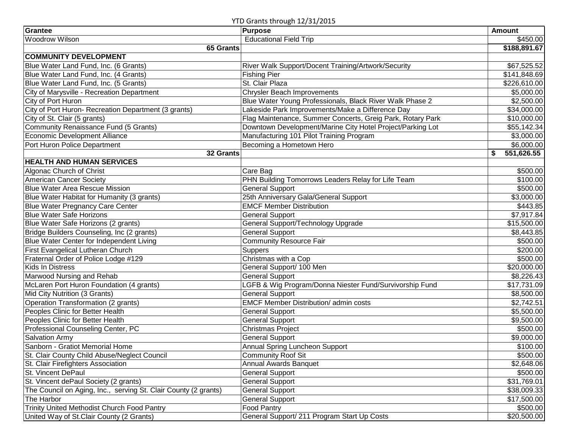| YTD Grants through 12/31/2015 |  |  |
|-------------------------------|--|--|
|-------------------------------|--|--|

| Grantee                                                         | Purpose                                                    | <b>Amount</b>   |
|-----------------------------------------------------------------|------------------------------------------------------------|-----------------|
| <b>Woodrow Wilson</b>                                           | <b>Educational Field Trip</b>                              | \$450.00        |
| 65 Grants                                                       |                                                            | \$188,891.67    |
| <b>COMMUNITY DEVELOPMENT</b>                                    |                                                            |                 |
| Blue Water Land Fund, Inc. (6 Grants)                           | River Walk Support/Docent Training/Artwork/Security        | \$67,525.52     |
| Blue Water Land Fund, Inc. (4 Grants)                           | <b>Fishing Pier</b>                                        | \$141,848.69    |
| Blue Water Land Fund, Inc. (5 Grants)                           | St. Clair Plaza                                            | \$226,610.00    |
| City of Marysville - Recreation Department                      | <b>Chrysler Beach Improvements</b>                         | \$5,000.00      |
| City of Port Huron                                              | Blue Water Young Professionals, Black River Walk Phase 2   | \$2,500.00      |
| City of Port Huron- Recreation Department (3 grants)            | Lakeside Park Improvements/Make a Difference Day           | \$34,000.00     |
| City of St. Clair (5 grants)                                    | Flag Maintenance, Summer Concerts, Greig Park, Rotary Park | \$10,000.00     |
| Community Renaissance Fund (5 Grants)                           | Downtown Development/Marine City Hotel Project/Parking Lot | \$55,142.34     |
| Economic Development Alliance                                   | Manufacturing 101 Pilot Training Program                   | \$3,000.00      |
| Port Huron Police Department                                    | Becoming a Hometown Hero                                   | \$6,000.00      |
| 32 Grants                                                       |                                                            | 551,626.55<br>S |
| <b>HEALTH AND HUMAN SERVICES</b>                                |                                                            |                 |
| Algonac Church of Christ                                        | Care Bag                                                   | \$500.00        |
| American Cancer Society                                         | PHN Building Tomorrows Leaders Relay for Life Team         | \$100.00        |
| <b>Blue Water Area Rescue Mission</b>                           | <b>General Support</b>                                     | \$500.00        |
| Blue Water Habitat for Humanity (3 grants)                      | 25th Anniversary Gala/General Support                      | \$3,000.00      |
| <b>Blue Water Pregnancy Care Center</b>                         | <b>EMCF Member Distribution</b>                            | \$443.85        |
| <b>Blue Water Safe Horizons</b>                                 | <b>General Support</b>                                     | \$7,917.84      |
| Blue Water Safe Horizons (2 grants)                             | General Support/Technology Upgrade                         | \$15,500.00     |
| Bridge Builders Counseling, Inc (2 grants)                      | <b>General Support</b>                                     | \$8,443.85      |
| Blue Water Center for Independent Living                        | <b>Community Resource Fair</b>                             | \$500.00        |
| First Evangelical Lutheran Church                               | Suppers                                                    | \$200.00        |
| Fraternal Order of Police Lodge #129                            | Christmas with a Cop                                       | \$500.00        |
| <b>Kids In Distress</b>                                         | General Support/ 100 Men                                   | \$20,000.00     |
| Marwood Nursing and Rehab                                       | <b>General Support</b>                                     | \$8,226.43      |
| McLaren Port Huron Foundation (4 grants)                        | LGFB & Wig Program/Donna Niester Fund/Survivorship Fund    | \$17,731.09     |
| Mid City Nutrition (3 Grants)                                   | <b>General Support</b>                                     | \$8,500.00      |
| Operation Transformation (2 grants)                             | <b>EMCF Member Distribution/ admin costs</b>               | \$2,742.51      |
| Peoples Clinic for Better Health                                | <b>General Support</b>                                     | \$5,500.00      |
| Peoples Clinic for Better Health                                | <b>General Support</b>                                     | \$9,500.00      |
| Professional Counseling Center, PC                              | <b>Christmas Project</b>                                   | \$500.00        |
| <b>Salvation Army</b>                                           | <b>General Support</b>                                     | \$9,000.00      |
| Sanborn - Gratiot Memorial Home                                 | Annual Spring Luncheon Support                             | \$100.00        |
| St. Clair County Child Abuse/Neglect Council                    | Community Roof Sit                                         | \$500.00        |
| St. Clair Firefighters Association                              | <b>Annual Awards Banquet</b>                               | \$2,648.06      |
| St. Vincent DePaul                                              | <b>General Support</b>                                     | \$500.00        |
| St. Vincent dePaul Society (2 grants)                           | <b>General Support</b>                                     | \$31,769.01     |
| The Council on Aging, Inc., serving St. Clair County (2 grants) | <b>General Support</b>                                     | \$38,009.33     |
| The Harbor                                                      | <b>General Support</b>                                     | \$17,500.00     |
| Trinity United Methodist Church Food Pantry                     | <b>Food Pantry</b>                                         | \$500.00        |
| United Way of St.Clair County (2 Grants)                        | General Support/ 211 Program Start Up Costs                | \$20,500.00     |